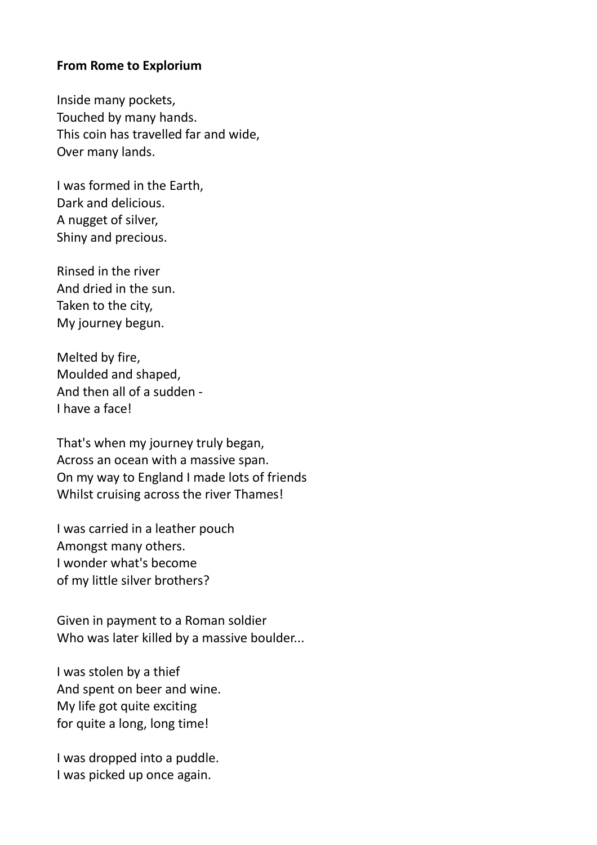## From Rome to Explorium

Inside many pockets, Touched by many hands. This coin has travelled far and wide, Over many lands.

I was formed in the Earth, Dark and delicious. A nugget of silver, Shiny and precious.

Rinsed in the river And dried in the sun. Taken to the city, My journey begun.

Melted by fire, Moulded and shaped, And then all of a sudden - I have a face!

That's when my journey truly began, Across an ocean with a massive span. On my way to England I made lots of friends Whilst cruising across the river Thames!

I was carried in a leather pouch Amongst many others. I wonder what's become of my little silver brothers?

Given in payment to a Roman soldier Who was later killed by a massive boulder...

I was stolen by a thief And spent on beer and wine. My life got quite exciting for quite a long, long time!

I was dropped into a puddle. I was picked up once again.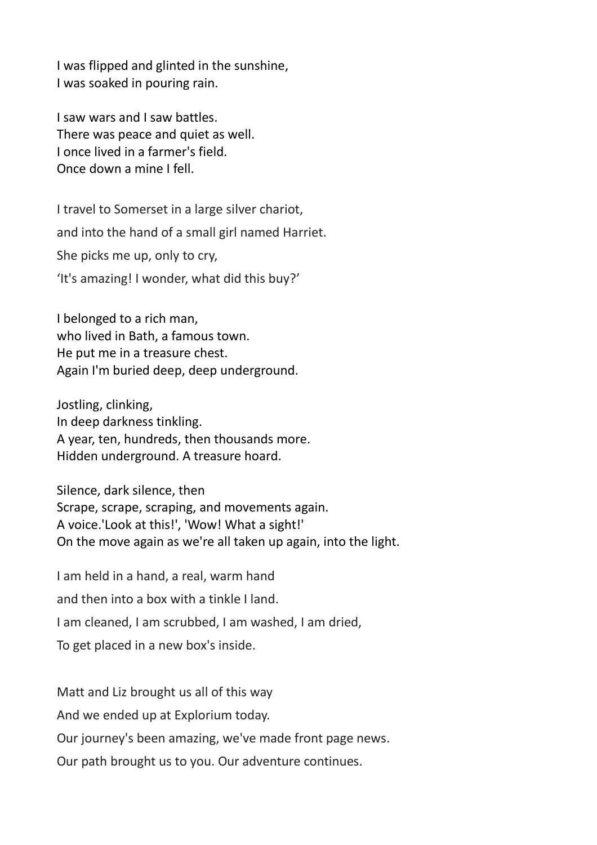I was flipped and glinted in the sunshine, I was soaked in pouring rain.

I saw wars and I saw battles. There was peace and quiet as well. I once lived in a farmer's field. Once down a mine I fell.

I travel to Somerset in a large silver chariot, and into the hand of a small girl named Harriet. She picks me up, only to cry, 'It's amazing! I wonder, what did this buy?'

I belonged to a rich man, who lived in Bath, a famous town. He put me in a treasure chest. Again I'm buried deep, deep underground.

Jostling, clinking, In deep darkness tinkling. A year, ten, hundreds, then thousands more. Hidden underground. A treasure hoard.

Silence, dark silence, then Scrape, scrape, scraping, and movements again. A voice.'Look at this!', 'Wow! What a sight!' On the move again as we're all taken up again, into the light.

I am held in a hand, a real, warm hand and then into a box with a tinkle I land. I am cleaned, I am scrubbed, I am washed, I am dried, To get placed in a new box's inside.

Matt and Liz brought us all of this way And we ended up at Explorium today. Our journey's been amazing, we've made front page news. Our path brought us to you. Our adventure continues.